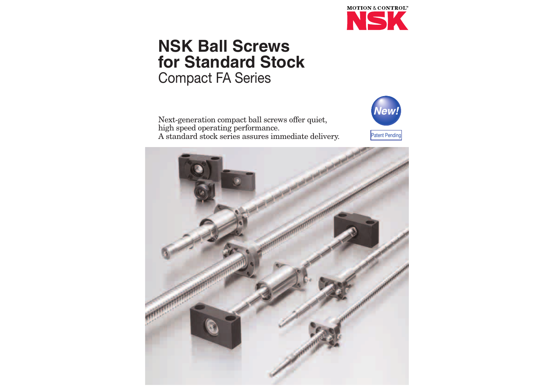

## **NSK Ball Screws for Standard Stock** Compact FA Series

Next-generation compact ball screws offer quiet, high speed operating performance. A standard stock series assures immediate delivery.



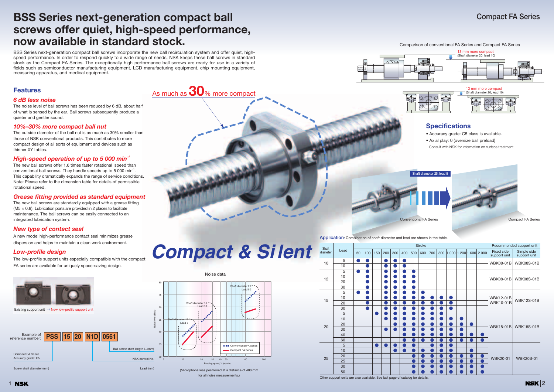# *Compact & Si lent*



### **Compact FA Series**







### 5 | ● | ● | | ● | ● | ● | ● | ● 30 ● ●●●● 5 ●● ●●●●● 30 ● ●●● ●●●●● 5 ●●●●●●●● 10 ●●●●●●●● ● 40 ●●●●●● ● ● ● 60 ●●●●●● ● ● ● 5 ●●●●● ●●● 10 ●●●●●●● ● 30 ●●●●● ● ● ● 50 ●●●●● ● ● ● Lead diameter | C<sup>ead</sup> | 50 | 100 | 150 | 200 | 300 | 400 | 500 | 600 | 700 | 800 | 1 000 | 1 200 | 1 600 | 2 000 | F<sup>ixed</sup> side Other support units are also available. See last page of catalog for details. Shaft<br>diameter



#### Comparison of conventional FA Series and Compact FA Series

Noise data

**1 NSK** 

### **Specifications**

- Accuracy grade: C5 class is available.
- Axial play: 0 (oversize ball preload)

Consult with NSK for information on surface treatment.

**Conventional FA Series Compact FA Series** Compact FA Series **Shaft diameter 25, lead** 

## **BSS Series next-generation compact ball screws offer quiet, high-speed performance, now available in standard stock.**

BSS Series next-generation compact ball screws incorporate the new ball recirculation system and offer quiet, highspeed performance. In order to respond quickly to a wide range of needs, NSK keeps these ball screws in standard stock as the Compact FA Series. The exceptionally high performance ball screws are ready for use in a variety of fields such as semiconductor manufacturing equipment, LCD manufacturing equipment, chip mounting equipment, measuring apparatus, and medical equipment.

**Application**: Combination of shaft diameter and lead are shown in the table.

| Lead<br><b>Fixed side</b><br>Simple side<br>meter<br>50<br>100<br>150<br>200<br>700<br> 1000 1200 1600 2000<br>300<br>400<br>500<br>600<br>800<br>support unit<br>support unit<br>5<br>10<br><b>WBK08-01B</b><br><b>WBK08S-01B</b><br>10<br>5<br>10<br>12<br><b>WBK08-01B</b><br><b>WBK08S-01B</b><br>20<br>30<br>5<br>×.<br>10<br><b>WBK12-01B</b><br><b>WBK12S-01B</b><br>15<br><b>WBK10-01B</b><br>20<br>30<br>5<br>10<br>×<br>20<br><b>WBK15S-01B</b><br>20<br><b>WBK15-01B</b><br>30<br>o de la provi<br>40<br>o)<br><b>Service Service</b><br>60<br>n<br>5<br>10<br>×.<br>20<br><b>WBK20-01</b><br>25<br><b>WBK20S-01</b><br>25<br>30<br>50 |      |  |  |  |  | <b>Stroke</b> |  |  |  | Recommended support unit |
|---------------------------------------------------------------------------------------------------------------------------------------------------------------------------------------------------------------------------------------------------------------------------------------------------------------------------------------------------------------------------------------------------------------------------------------------------------------------------------------------------------------------------------------------------------------------------------------------------------------------------------------------------|------|--|--|--|--|---------------|--|--|--|--------------------------|
|                                                                                                                                                                                                                                                                                                                                                                                                                                                                                                                                                                                                                                                   | haft |  |  |  |  |               |  |  |  |                          |
|                                                                                                                                                                                                                                                                                                                                                                                                                                                                                                                                                                                                                                                   |      |  |  |  |  |               |  |  |  |                          |
|                                                                                                                                                                                                                                                                                                                                                                                                                                                                                                                                                                                                                                                   |      |  |  |  |  |               |  |  |  |                          |
|                                                                                                                                                                                                                                                                                                                                                                                                                                                                                                                                                                                                                                                   |      |  |  |  |  |               |  |  |  |                          |
|                                                                                                                                                                                                                                                                                                                                                                                                                                                                                                                                                                                                                                                   |      |  |  |  |  |               |  |  |  |                          |
|                                                                                                                                                                                                                                                                                                                                                                                                                                                                                                                                                                                                                                                   |      |  |  |  |  |               |  |  |  |                          |
|                                                                                                                                                                                                                                                                                                                                                                                                                                                                                                                                                                                                                                                   |      |  |  |  |  |               |  |  |  |                          |
|                                                                                                                                                                                                                                                                                                                                                                                                                                                                                                                                                                                                                                                   |      |  |  |  |  |               |  |  |  |                          |
|                                                                                                                                                                                                                                                                                                                                                                                                                                                                                                                                                                                                                                                   |      |  |  |  |  |               |  |  |  |                          |
|                                                                                                                                                                                                                                                                                                                                                                                                                                                                                                                                                                                                                                                   |      |  |  |  |  |               |  |  |  |                          |
|                                                                                                                                                                                                                                                                                                                                                                                                                                                                                                                                                                                                                                                   |      |  |  |  |  |               |  |  |  |                          |
|                                                                                                                                                                                                                                                                                                                                                                                                                                                                                                                                                                                                                                                   |      |  |  |  |  |               |  |  |  |                          |
|                                                                                                                                                                                                                                                                                                                                                                                                                                                                                                                                                                                                                                                   |      |  |  |  |  |               |  |  |  |                          |
|                                                                                                                                                                                                                                                                                                                                                                                                                                                                                                                                                                                                                                                   |      |  |  |  |  |               |  |  |  |                          |
|                                                                                                                                                                                                                                                                                                                                                                                                                                                                                                                                                                                                                                                   |      |  |  |  |  |               |  |  |  |                          |
|                                                                                                                                                                                                                                                                                                                                                                                                                                                                                                                                                                                                                                                   |      |  |  |  |  |               |  |  |  |                          |
|                                                                                                                                                                                                                                                                                                                                                                                                                                                                                                                                                                                                                                                   |      |  |  |  |  |               |  |  |  |                          |
|                                                                                                                                                                                                                                                                                                                                                                                                                                                                                                                                                                                                                                                   |      |  |  |  |  |               |  |  |  |                          |
|                                                                                                                                                                                                                                                                                                                                                                                                                                                                                                                                                                                                                                                   |      |  |  |  |  |               |  |  |  |                          |
|                                                                                                                                                                                                                                                                                                                                                                                                                                                                                                                                                                                                                                                   |      |  |  |  |  |               |  |  |  |                          |
|                                                                                                                                                                                                                                                                                                                                                                                                                                                                                                                                                                                                                                                   |      |  |  |  |  |               |  |  |  |                          |
|                                                                                                                                                                                                                                                                                                                                                                                                                                                                                                                                                                                                                                                   |      |  |  |  |  |               |  |  |  |                          |
|                                                                                                                                                                                                                                                                                                                                                                                                                                                                                                                                                                                                                                                   |      |  |  |  |  |               |  |  |  |                          |

### **Features**

### *6 dB less noise*

The noise level of ball screws has been reduced by 6 dB, about half of what is sensed by the ear. Ball screws subsequently produce a quieter and gentler sound.

### *10%–30% more compact ball nut*

The outside diameter of the ball nut is as much as 30% smaller than those of NSK conventional products. This contributes to more compact design of all sorts of equipment and devices such as thinner XY tables.

### *High-speed operation of up to 5 000 min-<sup>1</sup>*

The new ball screws offer 1.6 times faster rotational speed than conventional ball screws. They handle speeds up to 5 000 min-1. This capability dramatically expands the range of service conditions. Note: Please refer to the dimension table for details of permissible rotational speed.

### *Grease fitting provided as standard equipment*

The new ball screws are standardly equipped with a grease fitting (M5  $\times$  0.8). Lubrication ports are provided in 2 places to facilitate maintenance. The ball screws can be easily connected to an integrated lubrication system.

### *New type of contact seal*

A new model high-performance contact seal minimizes grease dispersion and helps to maintain a clean work environment.

### *Low-profile design*

The low-profile support units especially compatible with the compact FA series are available for uniquely space-saving design.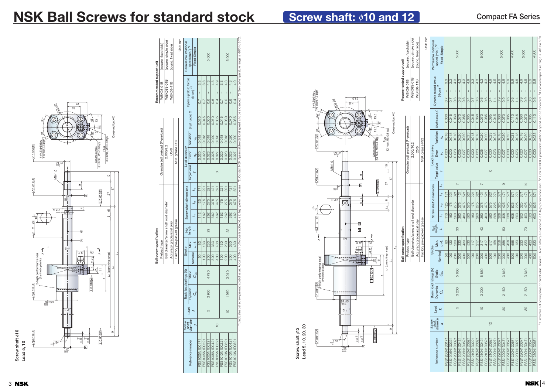27 13.5 13.5

 $\mathcal{S}^{\circ}$ 

14.5 21.5

PCD34

 $\mathcal{S}^{\circ}$ 

Cross-section *X-X*

*L*<sup>3</sup>



#### $\mathring{S}$ 30˚ 13 13 26 30˚ 30˚ (Oil hole, M5×0.8 tap) 8 c'bore, 4.5 depth 4- 4.5 drill thru 0.010 *E* (Oil hole, M5×0.8 tap) Grease nipple Plug  $rac{6}{9}$ 94 gø –0.008 M8×1.0 0.018 *A* ത 0.005 *E E* 8φ –0.008 –0.002 41 2.11s –0.2 10 *C G G A* εÞφ  $(1.8)$   $\perp$   $\perp$   $(5)$ gh performance seal<br>(Synthetic plastic) 2-high performance seal *X* (8.7) (Synthetic plastic) ات  $\pm$  $\mathcal{C}% _{M_{1},M_{2}}^{\alpha,\beta}(\varepsilon)$ *L* 0.010 *A*  $-10.012A$ 0.018 *A A* 23 g6 φ –0.007 –0.020 0 Lø **Screw shaft**  $\phi$ **10**<br>Lead 5, 10  $A0.018A$ 0.005 *F*  $\overline{9}$  $\frac{1}{2}$ +0 0.8 6.8 Γ.9φ –0.06 *F* 9ø –0.010 –0.002

Plug

30˚

30˚

φ φ 4-<sup>ø4</sup>.5drill thru 8 c'bore, 4.5 depth

## **NSK Ball Screws for standard stock Screw shaft: 010 and 12**

Cross-section *X-X*

10

27

(8)

5

တ၊

37

*L*<sup>2</sup>

*L*1 (quenching range)

*L*<sup>3</sup>

14 21

PCD 33

**Screw shaft** φ**10**



**Ball screw specification**

Preload type Oversize ball preload (P-preload)

Ball diameter/screw shaft root diameter 2.000/10.2 Accuracy grade/axial play C5/0

|                  |                            |                          |                        |              |         |         | Factory pre-packed grease |     |                        |                                     |              | NSK grease PS2 |           |                 |                                                     | Unit: mm                                                                                                                                                                                                                       |
|------------------|----------------------------|--------------------------|------------------------|--------------|---------|---------|---------------------------|-----|------------------------|-------------------------------------|--------------|----------------|-----------|-----------------|-----------------------------------------------------|--------------------------------------------------------------------------------------------------------------------------------------------------------------------------------------------------------------------------------|
|                  |                            |                          |                        |              |         |         |                           |     |                        |                                     |              |                |           |                 |                                                     |                                                                                                                                                                                                                                |
|                  | Screw<br>shaft<br>diameter |                          | Basic load ratings (N) |              | Stroke  |         |                           |     | Screw shaft dimensions |                                     |              | Lead accuracy  |           |                 |                                                     | Permissible rotational                                                                                                                                                                                                         |
| Reference number |                            | Lead                     | Dynamic                | Static       |         | Max.    | Nut<br>length             |     |                        |                                     | Target value | Error          | Variation | Shaft runout, C | Dynamic preload torque                              | speed (min <sup>-1</sup> ) *2                                                                                                                                                                                                  |
|                  | d                          | $\overline{\phantom{0}}$ | Cª                     | $C_{\alpha}$ | Nominal | $7 - 7$ | $\overline{a}$            | J,  | $L_{2}$                | $\mathcal{L}_4$<br>$\mathfrak{L}_3$ | ⊢            | $e_{\rm p}$    | ວັ        |                 | $(M\text{-cm})$ $^{*1}$                             | Fixed-Simple                                                                                                                                                                                                                   |
| PSS1205N1D0171   |                            |                          |                        |              | 50      | 80      |                           | 110 | 125                    | 171                                 |              | 0.020          | 0.018     | 0.030           | 33<br>I<br>0.7                                      |                                                                                                                                                                                                                                |
| PSS1205N1D0221   |                            |                          |                        |              | 100     | 130     |                           | 160 | 175                    | 221                                 |              | 0.020          | 0.018     | 0.045           | 33<br>$\overline{\phantom{a}}$<br>$\overline{0.7}$  |                                                                                                                                                                                                                                |
| PSS1205N1D0321   |                            | LO                       | 3200                   | 5860         | 200     | 230     | 80                        | 260 | 275                    | $\overline{ }$<br>321               |              | 0.023          | 0.018     | 0.060           | 4.3<br>0.6                                          | 5000                                                                                                                                                                                                                           |
| PSS1205N1D0421   |                            |                          |                        |              | 300     | 330     |                           | 360 | 375                    | 421                                 |              | 0.025          | 0.020     | 0.070           | $\frac{3}{4}$<br>0.6                                |                                                                                                                                                                                                                                |
| PSS1205N1D0521   |                            |                          |                        |              | 400     | 430     |                           | 460 | 475                    | 521                                 |              | 0.027          | 0.020     | 0.085           | 4.3<br>I<br>0.6                                     |                                                                                                                                                                                                                                |
| PSS1205N1D0621   |                            |                          |                        |              | 500     | 530     |                           | 560 | 575                    | 621                                 |              | 0.030          | 0.023     | 0.085           | 4.9<br>I<br>0.4                                     |                                                                                                                                                                                                                                |
| PSS1210N1D0221   |                            |                          |                        |              | 100     | 117     |                           | 160 | 175                    | 221                                 |              | 0.020          | 0.018     | 0.045           | 33<br>$\overline{\phantom{a}}$<br>0.7               |                                                                                                                                                                                                                                |
| PSS1210N1D0321   |                            |                          |                        |              | 200     | 217     |                           | 260 | 275                    | 321                                 |              | 0.023          | 0.018     | 0.060           | 4.3<br>I<br>0.6                                     |                                                                                                                                                                                                                                |
| PSS1210N1D0421   |                            | $\frac{1}{2}$            | 3200                   | 5860         | 300     | 317     | 43                        | 360 | 375                    | $\overline{ }$<br>421               |              | 0.025          | 0.020     | 0.070           | 4.3<br>0.6                                          | 5000                                                                                                                                                                                                                           |
| PSS1210N1D0521   |                            |                          |                        |              | 400     | 417     |                           | 460 | 475                    | 521                                 |              | 0.027          | 0.020     | 0.085           | 4.3<br>$\overline{\phantom{a}}$<br>$\frac{6}{2}$    |                                                                                                                                                                                                                                |
| PSS1210N1D0621   | $\frac{2}{3}$              |                          |                        |              | 500     | 517     |                           | 560 | 575                    | 621                                 | $\circ$      | 0.030          | 0.023     | 0.085           | 4.9<br>0.4                                          |                                                                                                                                                                                                                                |
| PSS1220N1D027    |                            |                          |                        |              | 100     | 158     |                           | 208 | 225                    | 271                                 |              | 0.023          | 0.018     | 0.045           | 4.5<br>$\overline{4}$                               |                                                                                                                                                                                                                                |
| PSS1220N1D0371   |                            |                          |                        |              | 200     | 258     |                           | 308 | 325                    | 371                                 |              | 0.023          | 0.018     | 0.060           | 4.9<br>$\overline{\phantom{a}}$<br>$\overline{0}$ . | 5000                                                                                                                                                                                                                           |
| PSS1220N1D0471   |                            | 20                       | 2150                   | 3610         | 300     | 358     | 50                        | 408 | 425                    | $\infty$<br>471                     |              | 0.027          | 0.020     | 0.070           | 4.9<br>$\overline{1}$<br>$\frac{0}{0}$              |                                                                                                                                                                                                                                |
| PSS1220N1D0571   |                            |                          |                        |              | 400     | 458     |                           | 508 | 525                    | 571                                 |              | 0.030          | 0.023     | 0.085           | 5.9<br>I<br>0.6                                     |                                                                                                                                                                                                                                |
| PSS1220N1D0671   |                            |                          |                        |              | 500     | 558     |                           | 608 | 625                    | 671                                 |              | 0.030          | 0.023     | 0.110           | 5.9<br>$\overline{\phantom{a}}$<br>0.6              | 4 200                                                                                                                                                                                                                          |
| PSS1230N1D027    |                            |                          |                        |              | 100     | 133     |                           | 203 | 225                    | 271                                 |              | 0.023          | 0.018     | 0.045           | 4.5<br>I<br>$\frac{4}{1}$                           |                                                                                                                                                                                                                                |
| PSS1230N1D0371   |                            |                          |                        |              | 200     | 233     |                           | 303 | 325                    | 371                                 |              | 0.023          | 0.018     | 0.060           | 4.9<br>I<br>0.9                                     | 5000                                                                                                                                                                                                                           |
| PSS1230N1D0471   |                            | 80                       | 2150                   | 3610         | 300     | 333     | <b>P</b>                  | 403 | 425                    | $\frac{1}{4}$<br>471                |              | 0.027          | 0.020     | 0.070           | 4.9<br>$\overline{1}$<br>0.9                        |                                                                                                                                                                                                                                |
| PSS1230N1D057    |                            |                          |                        |              | 400     | 433     |                           | 503 | 525                    | 571                                 |              | 0.030          | 0.023     | 0.085           | 5.9<br>I<br>0.6                                     |                                                                                                                                                                                                                                |
| PSS1230N1D0671   |                            |                          |                        |              | 500     | 533     |                           | 603 | 671<br>625             |                                     |              | 0.030          | 0.023     | 0.110           | 5.9<br>$\overline{\phantom{a}}$<br>0.6              | $\frac{4300}{ }$                                                                                                                                                                                                               |
|                  |                            |                          |                        |              |         |         |                           |     |                        |                                     |              |                |           |                 |                                                     | *1. Indicates ball screw preload control value. About 2.0 N-on of torque is added due to high performance sea. *2. Contact NSK if permissible rotational speed is to be exceeded. *3. Service temperature range is -20°C to 80 |

### **Compact FA Series**

**NSK** $|4$ 

**Ball screw specification**

Ball scr

Preload type Oversize ball preload (P-preload)

**Recommended support unit**

Recomm<br>WBK

WBK08-01B (square, fixed side)

|                  |                |             |                        |                    |                  |                           |               | Ball diameter/screw shaft root diameter |                        |                |              | 2.000/8.2                              |                    |                 | <b>WBK08S-01B</b>                                           | (square, simple side)                                                                                                                                                                                                          |
|------------------|----------------|-------------|------------------------|--------------------|------------------|---------------------------|---------------|-----------------------------------------|------------------------|----------------|--------------|----------------------------------------|--------------------|-----------------|-------------------------------------------------------------|--------------------------------------------------------------------------------------------------------------------------------------------------------------------------------------------------------------------------------|
|                  |                |             |                        |                    |                  | Accuracy grade/axial play |               |                                         |                        |                |              | C5/0                                   |                    |                 | <b>WBK08-11B</b>                                            | (round, fixed side)                                                                                                                                                                                                            |
|                  |                |             |                        |                    |                  | Factory pre-packed grease |               |                                         |                        |                |              | NSK grease PS2                         |                    |                 |                                                             |                                                                                                                                                                                                                                |
|                  |                |             |                        |                    |                  |                           |               |                                         |                        |                |              |                                        |                    |                 |                                                             | Jnit: mm                                                                                                                                                                                                                       |
|                  | Screw<br>shaft |             | Basic load ratings (N) |                    | Stroke           |                           |               |                                         | Screw shaft dimensions |                |              | <b>Lead accuracy</b>                   |                    |                 |                                                             | Permissible rotational                                                                                                                                                                                                         |
| Reference number | diameter       | Lead        | Dynamic                | <b>Static</b>      |                  | Max.                      | Nut<br>length |                                         |                        |                | Target value | Error                                  | Variation          | Shaft runout, C | Dynamic preload torque                                      | speed (min <sup>-1</sup> ) *2                                                                                                                                                                                                  |
|                  | ѻ              |             | Ca                     | $C_{\texttt{Gra}}$ | Nominal          | յ-լ<br>1                  |               |                                         | $\overline{2}$         | $\mathsf{L}_3$ |              | $\mathbf{e}_{\mathbf{p}}^{\mathbf{p}}$ | $\vec{p}_\text{u}$ |                 | $(N-cm)$ <sup>*1</sup>                                      | Fixed-Simple                                                                                                                                                                                                                   |
| PSS1005N1D0171   |                |             |                        |                    | 8                | 83                        |               | 112                                     | 125                    | 171            |              | 0.020                                  | 0.018              | 0.030           | 33<br>$\overline{\phantom{a}}$<br>0.7                       |                                                                                                                                                                                                                                |
| PSS1005N1D0221   |                |             |                        |                    | $\overline{100}$ | 133                       |               | 162                                     | 175                    | 21             |              | 0.020                                  | 0.018              | 0.045           | 33<br>3<br>$\overline{\phantom{a}}$<br>0.7                  |                                                                                                                                                                                                                                |
| PSS1005N1D0321   |                | LO          | 2930                   | 4790               | 200              | 233                       | ල<br>2        | 262                                     | 275                    | 321            |              | 0.023                                  | 0.018              | 0.060           | $\frac{3}{4}$<br>I<br>$\frac{6}{2}$                         | 5000                                                                                                                                                                                                                           |
| PSS1005N1D0421   |                |             |                        |                    | 300              | 333                       |               | 362                                     | 375                    | 421            |              | 0.025                                  | 0.020              | 0.070           | $\frac{3}{4}$<br>Ī<br>0.6                                   |                                                                                                                                                                                                                                |
| PSS1005N1D0521   | $\supseteq$    |             |                        |                    | $\frac{400}{2}$  | 433                       |               | 462                                     | 475                    | 521            |              | 0.027                                  | 0.020              | 0.085           | $\frac{1}{4}$<br>$\overline{\phantom{a}}$<br>0.4            |                                                                                                                                                                                                                                |
| PSS1010N1D0221   |                |             |                        |                    | $\frac{8}{1}$    | 130                       |               | 162                                     | 175                    | 221            |              | 0.020                                  | 0.018              | 0.045           | 33<br>I<br>0.7                                              |                                                                                                                                                                                                                                |
| PSS1010N1D0321   |                | $\supseteq$ | 1970                   | 3010               | 200              | 230                       | S2            | 262                                     | 275                    | 321            |              | 0.023                                  | 0.018              | 0.060           | 43<br>I<br>$\frac{6}{2}$                                    | 5000                                                                                                                                                                                                                           |
| PSS1010N1D0421   |                |             |                        |                    | 300              | 330                       |               | 362                                     | 375                    | 421            |              | 0.025                                  | 0.020              | 0.070           | $\frac{3}{4}$<br>$\overline{1}$<br>$\frac{6}{2}$            |                                                                                                                                                                                                                                |
| PSS1010N1D0521   |                |             |                        |                    | 400              | $rac{1}{4}$               |               | 462                                     | 475                    | 521            |              | 0.027                                  | 0.020              | 0.085           | $\frac{4}{9}$<br>$\overline{\phantom{a}}$<br>$\ddot{\circ}$ |                                                                                                                                                                                                                                |
|                  |                |             |                        |                    |                  |                           |               |                                         |                        |                |              |                                        |                    |                 |                                                             | *1. Indicates ball screw preload control value. About 2.0 N-out 2.0 N-On is added due to high performance seal. *2. Contact KBK if permissible rotational speed is to be exceeded. *3. Service temperature range is -20°C to 8 |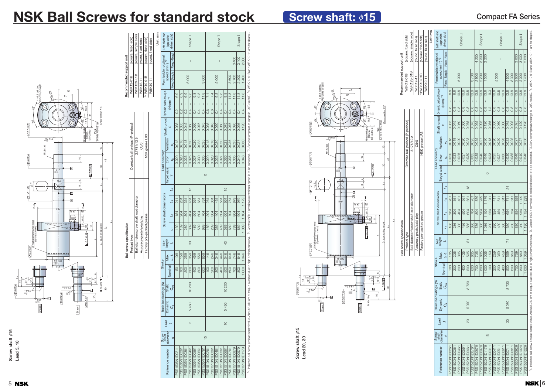### **Compact FA Series**

**NSK 6** 



**Screw shaft** φ**15 Lead 20, 30**

Screw shaft  $\phi$ 15<br>Lead 20, 30

## **Screw shaft: ø15**

| eft shaft end                         | (opposite                                | driven side)                 |                |                       |                                 | Shape II       |                       |                                 |                |                       |                     |                | Shape II                         |                     |                |                                  | Shape <sub>I</sub>    |                     |
|---------------------------------------|------------------------------------------|------------------------------|----------------|-----------------------|---------------------------------|----------------|-----------------------|---------------------------------|----------------|-----------------------|---------------------|----------------|----------------------------------|---------------------|----------------|----------------------------------|-----------------------|---------------------|
|                                       | speed (min <sup>-1</sup> ) <sup>*2</sup> | Fixed-Fixed                  |                |                       |                                 | $\mathbf I$    |                       |                                 |                |                       |                     |                | $\mathbf I$                      |                     |                | 3400                             | 3400                  | 2300                |
| Permissible rotational                |                                          | Fixed-Simple                 |                |                       | 5000                            |                |                       |                                 | 3600           |                       |                     | 5000           |                                  |                     | 3600           | 2700                             | 2200                  | 400                 |
|                                       |                                          |                              | 6.9            | 6.9                   | 0.9                             | 9.8            | 9.8                   | 9.8                             | 11.8           | 7.4                   | 7.4                 | 9.8            | 9.8                              | 9.8                 | 11.8           | 11.8                             | 11.8                  | 11.8                |
|                                       | $(M-cm)$ *1                              |                              | Ï<br>0.2       | $\overline{1}$<br>0.2 | $\overline{1}$<br>$\frac{2}{3}$ | ī<br>0.4       | $\overline{1}$<br>0.4 | $\overline{\phantom{a}}$<br>0.4 | T<br>0.4       | $\overline{1}$<br>0.6 | $\mathsf{I}$<br>0.6 | ı<br>0.4       | $\overline{1}$<br>$\overline{0}$ | $\mathsf{I}$<br>0.4 | Ī<br>0.4       | $\overline{1}$<br>$\overline{0}$ | $\overline{1}$<br>0.4 | $\mathbf{I}$<br>0.4 |
| Shaft runout   Dynamic preload torque |                                          | $\circ$                      | 0.035          | 0.035                 | 0.045                           | 0.050          | 0.060                 | 0.075                           | 0.075          | 0.035                 | 0.045               | 0.050          | 0.060                            | 0.075               | 0.075          | 0.095                            | 0.095                 | 0.120               |
|                                       | Variation                                | ð                            | 0.018          | 0.018                 | 0.018                           | 0.020          | 0.020                 | 0.023                           | 0.025          | 0.018                 | 0.018               | 0.020          | 0.020                            | 0.023               | 0.025          | 0.025                            | 0.027                 | 0.030               |
| Lead accuracy                         | Error                                    | $\theta_{\rm p}$             | 0.020          | 0.020                 | 0.023                           | 0.025          | 0.027                 | 0.030                           | 0.035          | 0.020                 | 0.023               | 0.025          | 0.027                            | 0.030               | 0.035          | 0.035                            | 0.040                 | 0.046               |
|                                       | Target value                             |                              |                |                       |                                 |                |                       |                                 | $\circ$        |                       |                     |                |                                  |                     |                |                                  |                       |                     |
|                                       |                                          | $\mathcal{L}_4$              |                |                       |                                 | $\frac{5}{1}$  |                       |                                 |                |                       |                     |                |                                  | $\frac{5}{1}$       |                |                                  |                       |                     |
|                                       |                                          | $L_3$                        | 211            | 261                   | 361                             | 461            | 561                   | 661                             | 761            | 261                   | 361                 | 461            | 561                              | 661                 | 761            | 879                              | 979                   | 1179                |
| Screw shaft dimensions                |                                          | $\overline{1}$               | 154            | 204                   | 304                             | 404            | 504                   | 604                             | 704            | 204                   | 304                 | 404            | 504                              | 604                 | 704            | 804                              | 904                   | 1104                |
|                                       |                                          | 1                            | 139            | 189                   | 289                             | 389            | 489                   | 589                             | 689            | 189                   | 289                 | 389            | 489                              | 589                 | 689            | 789                              | 889                   | 1089                |
|                                       | Nut<br>length                            |                              |                |                       |                                 | 80             |                       |                                 |                |                       |                     |                |                                  | 43                  |                |                                  |                       |                     |
|                                       | Max.                                     | $1 - 1$                      | 109            | 159                   | 259                             | 359            | 459                   | 559                             | 659            | 146                   | 246                 | 346            | 446                              | 546                 | 646            | 746                              | 846                   | 1046                |
| <b>Stroke</b>                         | Nominal                                  |                              | 50             | $\frac{8}{1}$         | 200                             | 300            | $rac{400}{1}$         | 500                             | 600            | 100                   | 200                 | 800            | 400                              | 500                 | 800            | 700                              | 800                   | 1000                |
| Basic load ratings (N)                | <b>Static</b>                            | ය<br>රී                      |                |                       |                                 | 10200          |                       |                                 |                |                       |                     |                |                                  | 10200               |                |                                  |                       |                     |
|                                       | Dynamic                                  | $\mathcal{C}_{\mathfrak{a}}$ |                |                       |                                 | 5460           |                       |                                 |                |                       |                     |                |                                  | 5460                |                |                                  |                       |                     |
|                                       | Lead                                     |                              |                |                       |                                 | 5              |                       |                                 |                |                       |                     |                |                                  | $\supseteq$         |                |                                  |                       |                     |
| Screw                                 | shaft<br>diameter                        | p                            |                |                       |                                 |                |                       |                                 | $\frac{15}{1}$ |                       |                     |                |                                  |                     |                |                                  |                       |                     |
|                                       | Reference number                         |                              | PSS1505N1D0211 | PSS1505N1D0261        | PSS1505N1D0361                  | PSS1505N1D0461 | PSS1505N1D0561        | PSS1505N1D0661                  | PSS1505N1D0761 | PSS1510N1D0261        | PSS1510N1D0361      | PSS1510N1D0461 | PSS1510N1D0561                   | PSS1510N1D0661      | PSS1510N1D0761 | PSS1510N1D0879                   | PSS1510N1D0979        | PSS1510N1D1179      |

## **NSK Ball Screws for standard stock**

**Recommended support unit**



WBK12-01B (square, fixed side) WBK12S-01B (square, simple side) WBK12-11 (round, fixed side) WBK10-01B (square, fixed side) WBK10-11 (round, fixed side)

| (square, fixed side)      | (round, fixed side) | Unit: mm | Left shaft end                        | (opposite                     | driven side)              |                       |               | Shape II       |                                           |                     |                       |                                 | Shape <sub>I</sub>                        |                    |                                                        |                    | Shape II            |                                 |                |                    |                    | Shape <sub>I</sub>                        |                               |                                                                                                                                                                                                                                |
|---------------------------|---------------------|----------|---------------------------------------|-------------------------------|---------------------------|-----------------------|---------------|----------------|-------------------------------------------|---------------------|-----------------------|---------------------------------|-------------------------------------------|--------------------|--------------------------------------------------------|--------------------|---------------------|---------------------------------|----------------|--------------------|--------------------|-------------------------------------------|-------------------------------|--------------------------------------------------------------------------------------------------------------------------------------------------------------------------------------------------------------------------------|
|                           |                     |          |                                       | speed (min <sup>-1</sup> ) *2 | Fixed-Fixed               |                       |               | $\mathbf{I}$   |                                           |                     |                       | 4 200                           | 3300                                      | 2 200              |                                                        |                    | $\mathbf{I}$        |                                 |                |                    | 3800               | 3000                                      | 2000                          |                                                                                                                                                                                                                                |
| *4WBK10-01B               | WBK10-11            |          | Permissible rotational                |                               | Fixed-Simple              |                       |               | 5000           |                                           |                     | 3700                  | 2900                            | 2200                                      | 500                |                                                        | 5000               |                     |                                 | 4500           | 3300               | 2600               | 2000                                      | 1400                          |                                                                                                                                                                                                                                |
|                           |                     |          |                                       |                               |                           | 8.8                   | 8.8           | 10.8           | 10.8                                      | 10.8                | 13.8                  | 13.8                            | 13.8                                      | 13.8               | <u>က္</u>                                              | 10.8               | 10.8                | 10.8                            | 13.8           | 13.8               | 13.8               | 13.8                                      | 13.8                          |                                                                                                                                                                                                                                |
|                           |                     |          |                                       | $(M\text{-cm})$ $^{*1}$       |                           | I<br>$0.\overline{8}$ | $\frac{8}{2}$ | $\frac{8}{10}$ | $\overline{\phantom{a}}$<br>$\frac{8}{2}$ | I<br>$\frac{8}{10}$ | I<br>$0.\overline{8}$ | $\overline{1}$<br>$\frac{8}{2}$ | $\overline{\phantom{a}}$<br>$\frac{8}{2}$ | T<br>$\frac{8}{2}$ | $\begin{array}{c} \hline \end{array}$<br>$\frac{2}{1}$ | I<br>$\frac{8}{2}$ | ī<br>$\frac{8}{10}$ | $\overline{1}$<br>$\frac{8}{2}$ | $\frac{8}{2}$  | I<br>$\frac{8}{2}$ | I<br>$\frac{8}{2}$ | $\overline{\phantom{a}}$<br>$\frac{8}{2}$ | $\mathbf{I}$<br>$\frac{8}{2}$ |                                                                                                                                                                                                                                |
|                           |                     |          | Shaft runout   Dynamic preload torque | $\circ$                       |                           | 0.035                 | 0.045         | 0.050          | 0.060                                     | 0.075               | 0.075                 | 0.095                           | 0.095                                     | 0.120              | 0.035                                                  | 0.050              | 0.060               | 0.060                           | 0.075          | 0.095              | 0.095              | 0.120                                     | 0.120                         |                                                                                                                                                                                                                                |
| NSK grease LR3            |                     |          |                                       | Variation                     | $v_u$                     | 0.018                 | 0.018         | 0.020          | 0.020                                     | 0.023               | 0.025                 | 0.025                           | 0.027                                     | 0.030              | 0.018                                                  | 0.020              | 0.020               | 0.023                           | 0.023          | 0.025              | 0.027              | 0.027                                     | 0.030                         |                                                                                                                                                                                                                                |
|                           |                     |          | Lead accuracy                         | Error                         | $\mathbf{e}_{\mathbf{p}}$ | 0.020                 | 0.023         | 0.025          | 0.027                                     | 0.030               | 0.035                 | 0.035                           | 0.040                                     | 0.046              | 0.023                                                  | 0.025              | 0.027               | 0.030                           | 0.030          | 0.035              | 0.040              | 0.040                                     | 0.046                         |                                                                                                                                                                                                                                |
|                           |                     |          |                                       | Target value                  |                           |                       |               |                |                                           |                     |                       |                                 |                                           | $\circ$            |                                                        |                    |                     |                                 |                |                    |                    |                                           |                               |                                                                                                                                                                                                                                |
|                           |                     |          |                                       |                               | $\overline{1}$            |                       |               |                |                                           | $\frac{8}{10}$      |                       |                                 |                                           |                    |                                                        |                    |                     |                                 | 24             |                    |                    |                                           |                               |                                                                                                                                                                                                                                |
|                           |                     |          | Screw shaft dimensions                |                               | $\mathfrak{a}_7$          | 261                   | 361           | 461            | 561                                       | 661                 | 761                   | 879                             | 979                                       | 179                | 311                                                    | 411                | 511                 | $\overline{6}$                  | 711            | $\overline{811}$   | 929                | 1029                                      | 229<br>$\overline{ }$         |                                                                                                                                                                                                                                |
|                           |                     |          |                                       |                               | $\mathcal{L}_2$           | 204                   | 304           | 404            | 504                                       | 604                 | 704                   | 804                             | 904                                       | 104                | 254                                                    | 354                | 454                 | 554                             | 654            | 754                | 854                | 954                                       | 1 154                         |                                                                                                                                                                                                                                |
| Factory pre-packed grease |                     |          |                                       |                               | Ľ,                        | 186                   | 286           | 386            | 486                                       | 586                 | 686                   | 786                             | 886                                       | 1086               | 230                                                    | 330                | 430                 | 530                             | 630            | 730                | 830                | 930                                       | 1130                          |                                                                                                                                                                                                                                |
|                           |                     |          |                                       | Nut<br>length                 |                           |                       |               |                |                                           | 51                  |                       |                                 |                                           |                    |                                                        |                    |                     |                                 | $\overline{7}$ |                    |                    |                                           |                               |                                                                                                                                                                                                                                |
|                           |                     |          | <b>Stroke</b>                         | Max.                          | $1 - 1$                   | 135                   | 235           | 335            | 435                                       | 535                 | 635                   | 735                             | 835                                       | 1035               | 159                                                    | 259                | 359                 | 459                             | 559            | 659                | 759                | 859                                       | 1059                          |                                                                                                                                                                                                                                |
|                           |                     |          |                                       |                               | Nominal                   | 100                   | 200           | 300            | 400                                       | 500                 | 600                   | 700                             | 800                                       | 1000               | 100                                                    | 200                | 300                 | 400                             | 500            | 600                | 700                | 800                                       | 1000                          |                                                                                                                                                                                                                                |
|                           |                     |          | Basic load ratings (N)                | Static                        | රී                        |                       |               |                |                                           | 8730                |                       |                                 |                                           |                    |                                                        |                    |                     |                                 | 8730           |                    |                    |                                           |                               |                                                                                                                                                                                                                                |
|                           |                     |          |                                       | Dynamic                       | S                         |                       |               |                |                                           | 5070                |                       |                                 |                                           |                    |                                                        |                    |                     |                                 | 5070           |                    |                    |                                           |                               |                                                                                                                                                                                                                                |
|                           |                     |          |                                       | Lead                          |                           |                       |               |                |                                           | 20                  |                       |                                 |                                           |                    |                                                        |                    |                     |                                 | 80             |                    |                    |                                           |                               |                                                                                                                                                                                                                                |
|                           |                     |          | Screw<br>shaft<br>diameter            |                               | p                         |                       |               |                |                                           |                     |                       |                                 |                                           | $\frac{1}{2}$      |                                                        |                    |                     |                                 |                |                    |                    |                                           |                               |                                                                                                                                                                                                                                |
|                           |                     |          |                                       | Reference number              |                           | PSS1520N1D026         | PSS1520N1D036 | PSS1520N1D0461 | PSS1520N1D056                             | PSS1520N1D066       | PSS1520N1D0761        | PSS1520N1D0879                  | PSS1520N1D0979                            | PSS1520N1D1179     | PSS1530N1D031                                          | PSS1530N1D041      | PSS1530N1D051       | PSS1530N1D061                   | PSS1530N1D071  | PSS1530N1D081      | PSS1530N1D0929     | PSS1530N1D1029                            | PSS1530N1D1229                | *1. Indicates ball screw preload control value. About 2.0 North 2.1 on 12012 is added due to high performance seal. *2. Contact NGK if permissble rotational speed is to be exceeded. *3. Service temperature range is -2010 t |

**Ball screw specification**

Preload type Oversize ball preload (P-preload) Ball diameter/screw shaft root diameter 2.7781/12.6 Accuracy grade/axial play C5/0 Factory pre-packed grease NSK grease LR3 ✽4

Preload type Oversize ball preload (P-preload)

Ball diameter/screw shaft root diameter 3.175/12.2 Accuracy grade/axial play C5/0

WBK12-01B (square, fixed side) WBK12S-01B (square, simple side) WBK12-11 (round, fixed side)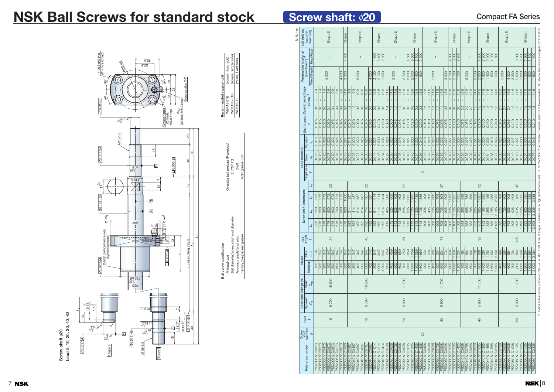## **Compact FA Series**

**Screw shaft** φ**20**

**Lead 5, 10, 20, 30, 40, 60**

Screw shaft  $\phi$ 20<br>Lead 5, 10, 20, 30, 40, 60

*L*<sup>3</sup>

## **NSK Ball Screws for standard stock**



| Left shaft end                                         | (opposite<br>driven side) |                 |                |                            | Shape II           |                      |                         |                      | Shape <sub>I</sub> |                                                 |                          | Shape II |                |                                                      |                       | Shape <sub>I</sub>                   |                                            |                                |                                         | Shape II                          |                       |                               |                   |                                | Shape <sub>I</sub>       |                                    |                                   |                       | Shape II              |                             |                       |                                        |                          | Shape <sub>I</sub>                              |                                |                               | Shape II                                              |                   |                       |                       | Shape <sub>I</sub>    |                       |                       |                            | Shape II            |                     |                                                                |                                       | Shape <sub>I</sub> |                                                   |                       |
|--------------------------------------------------------|---------------------------|-----------------|----------------|----------------------------|--------------------|----------------------|-------------------------|----------------------|--------------------|-------------------------------------------------|--------------------------|----------|----------------|------------------------------------------------------|-----------------------|--------------------------------------|--------------------------------------------|--------------------------------|-----------------------------------------|-----------------------------------|-----------------------|-------------------------------|-------------------|--------------------------------|--------------------------|------------------------------------|-----------------------------------|-----------------------|-----------------------|-----------------------------|-----------------------|----------------------------------------|--------------------------|-------------------------------------------------|--------------------------------|-------------------------------|-------------------------------------------------------|-------------------|-----------------------|-----------------------|-----------------------|-----------------------|-----------------------|----------------------------|---------------------|---------------------|----------------------------------------------------------------|---------------------------------------|--------------------|---------------------------------------------------|-----------------------|
| Permissible rotational<br>speed (min <sup>-1) *2</sup> | Fixed-Simple Fixed-Fixed  |                 |                |                            | $\overline{1}$     |                      |                         |                      | 4 700              |                                                 |                          |          |                |                                                      | 4 600                 | 3 100                                | 2 200                                      |                                |                                         | $\overline{1}$                    |                       |                               | 4 500             | $\overline{3000}$              | $\overline{2}$ 100       | 200                                |                                   |                       | $\mathbf{I}$          |                             |                       |                                        | 4 600                    | $\frac{1}{3}000$                                | 2 200                          |                               | $\mathbf{I}$                                          |                   | 200<br>4              | 2800                  | 2000                  | 200                   | 800                   |                            | $\mathbf{I}$        |                     | $\frac{300}{500}$                                              | 2700                                  |                    | $\frac{100}{100}$                                 | 700                   |
|                                                        |                           |                 |                | 5000                       |                    |                      |                         | $\frac{4000}{2000}$  | 3200               |                                                 | 5000                     |          |                | 4 000                                                | 3100                  | $\frac{100}{100}$<br>$\sim$          | 1500                                       |                                |                                         | 5000                              |                       | 002 8                         | 3000              | $\frac{1}{2}$                  | 1400                     | $\frac{80}{2}$                     |                                   |                       | 5000                  |                             |                       | $\frac{1}{3}$                          | $\overline{3100}$        | $\frac{100}{2}$                                 | 1500                           |                               | 5000                                                  | 3500              | $\frac{1}{2}$ 800     | 1900                  | 400                   |                       | $\frac{8}{8}$         | 5000                       |                     | $\frac{4200}{3300}$ | 2 600                                                          | $\frac{1800}{2}$                      |                    | $\frac{1300}{800}$                                | 500                   |
| Shaft runout Dynamic preload torque                    | $(N-cm)$ *1               | 7.4<br>T<br>0.6 | 7.4<br>0.6     | 7.4<br>$\mathbf{I}$<br>0.6 | 9.8<br>0.4         | $\frac{8}{9}$<br>0.4 | $9.\overline{8}$<br>0.4 | $\frac{8}{9}$<br>0.4 | 11.8<br>0.4        | 9.3<br>$\overline{9.3}$<br>$\frac{2}{1}$<br>1.2 | 10.8<br>$0.\overline{8}$ |          | 10.8<br>0.8    | 10.8<br>10.8<br>$0.\overline{8}$<br>$0.\overline{8}$ | 13.8<br>$\frac{8}{2}$ | $\frac{8}{13.8}$<br>$0.\overline{8}$ | 13.8<br>$\overline{1}$<br>$0.\overline{8}$ | 11.8 <br>$\overline{1}$<br>1.4 | 11.8<br>$\overline{1}$<br>$\frac{1}{4}$ | $\frac{1}{11.8}$<br>$\frac{1}{4}$ | 11.8<br>$\frac{1}{4}$ | 13.8<br>$\overline{1}$<br>0.8 | 13.8<br>0.8       | $\frac{8}{13.8}$<br>$\sqrt{8}$ | 13.8<br>$0.\overline{8}$ | 3.8 <br>$\mathbf{L}$<br>$\sqrt{8}$ | $9.\overline{8}$<br>$\frac{6}{1}$ | 11.8<br>$\frac{1}{4}$ | 11.8<br>$\frac{1}{4}$ | 11.8<br>L<br>$\overline{4}$ | 11.8<br>$\frac{1}{4}$ | $\sqrt{13.8}$<br>L<br>$0.\overline{8}$ | 13.8<br>$0.\overline{8}$ | $\overline{13.8}$<br>$\mathbf{I}$<br>$\sqrt{8}$ | $\frac{8}{13.8}$<br>$\sqrt{8}$ | 12.8<br> 2.8 <br>$\sqrt{2.2}$ | $\overline{12.8}$<br>$\overline{2.2}$<br>$\sqrt{2.2}$ | 14.8<br>1.8       | 14.8<br>$\frac{8}{1}$ | 14.8<br>$\frac{8}{1}$ | 14.8<br>$\frac{8}{1}$ | 14.8<br>$\frac{8}{1}$ | 14.8<br>$\frac{8}{1}$ | $\frac{13.8}{13.8}$<br>2.7 | $\mathbf{L}$<br>2.7 | 13.8<br>7.2         | 14.8<br>14.8<br>$\overline{1}$<br>$\frac{8}{1}$<br>$ \vec{a} $ | 14.8<br>$\mathbf{I}$<br>$\frac{8}{1}$ | 14.8<br>$\infty$   | 14.8<br>$\overline{1}$<br>$\frac{\infty}{\infty}$ | 14.8<br>$\frac{8}{1}$ |
|                                                        |                           | 0.045           | 0.045          | 0.050                      | 0.060              | 0.075                | 0.075                   | 0.095                | 0.095              | 0.045<br>0.050                                  | 0.060                    |          | 0.075<br>0.075 | 0.095                                                | 0.120                 | 0.120                                | 0.160                                      | 0.060                          | 0.060                                   | 0.075                             | 0.095                 | 0.095                         |                   | $\frac{0.120}{0.120}$          | 0.160                    | 0.200                              | 0.050                             | 0.060                 | 0.060                 | 0.075                       | 0.095                 | 0.095                                  | 0.120                    | 0.120                                           | 0.160                          | 0.075                         | 0.075<br>0.095                                        | 0.095             | 0.120                 | 0.160                 | 0.160                 | 0.200                 | 0.240                 | 0.075                      | 0.095               | 0.095               | 0.120<br>0.120                                                 | 0.160                                 |                    | $\frac{0.160}{0.200}$                             | 0.240                 |
| Variation                                              | ວັ                        | 0.018           | 0.018          | 0.020                      | 0.020              | 0.023                | 0.025                   | 0.025                | 0.027              | 0.018<br>0.020                                  | 0.020                    |          | 0.023          | 0.025<br>0.025                                       | 0.027                 | 0.030                                | 0.035                                      | 0.020                          | 0.023                                   | 0.023                             |                       | 0.025                         | 0.027             | 0.030                          | 0.035                    | 0.040                              | 0.018                             | 0.020                 | 0.023                 | 0.023                       | 0.025                 | 0.027                                  | 0.027                    | 0.030                                           | 0.035                          | 0.023<br>0.025                | 0.025                                                 | $\frac{0.027}{ }$ | 0.027                 | 0.030                 | 0.035                 | 0.040                 | 0.046                 | 0.023                      | 0.025               | 0.025               | 0.027                                                          | 0.030                                 |                    | 0.035                                             | 0.046                 |
| Lead accuracy<br>Error                                 | $\sigma^2$                | 0.023           | 0.023          | 0.025                      | 0.027              | 0.030                | 0.035                   | 0.035                | 0.040              | 0.023<br>0.025                                  | 0.027                    | 0.030    |                | 0.035<br>0.035                                       | 0.040                 | 0.046                                | 0.054                                      | 0.027                          | 0.030                                   | 0.030                             | 0.035                 | 0.040                         | 0.040             | 0.046                          | 0.054                    | 0.065                              | 0.023                             | $\frac{0.027}{2}$     | 0.030                 | 0.030                       | 0.035                 | 0.040                                  | 0.040                    | 0.046                                           | 0.054                          | 0.030                         | 0.035<br>0.035                                        | 0.040             | 0.040                 | 0.046                 | 0.054                 | 0.065                 | 0.077                 | 0.030                      | 0.035               | 0.035               | 0.040<br>0.040                                                 | 0.046                                 | 0.054              | 0.065                                             | 0.077                 |
|                                                        | Target value              |                 |                |                            |                    |                      |                         |                      |                    |                                                 |                          |          |                |                                                      |                       |                                      |                                            |                                |                                         |                                   |                       |                               |                   |                                |                          |                                    | $\circ$                           |                       |                       |                             |                       |                                        |                          |                                                 |                                |                               |                                                       |                   |                       |                       |                       |                       |                       |                            |                     |                     |                                                                |                                       |                    |                                                   |                       |
|                                                        | $\mathcal{I}_4$           |                 |                |                            | 22                 |                      |                         |                      |                    |                                                 |                          |          |                | 22                                                   |                       |                                      |                                            |                                |                                         |                                   |                       | 22                            |                   |                                |                          |                                    |                                   |                       |                       |                             | 27                    |                                        |                          |                                                 |                                |                               |                                                       |                   | 32                    |                       |                       |                       |                       |                            |                     |                     | 42                                                             |                                       |                    |                                                   |                       |
|                                                        | $L_3$                     | 323             | 373            | 473                        | $rac{22}{673}$     |                      | <b>ELL</b>              | 873                  | 1000               | 387<br>$\sqrt{87}$                              | 587                      |          | 687            | 787<br>887                                           | 1014                  | 214                                  | 1414                                       | 508                            | 608                                     | 802                               | 808                   | $\frac{8}{908}$               | $\frac{1035}{25}$ | 235                            | 1435                     | 835                                | 408                               | 508                   | 608                   | $\frac{80}{7}$              | 808                   | 808                                    | 1035                     | 235                                             | 1435                           | 658<br>758                    | 858                                                   | 958               | 86                    | 285                   | 485                   | 1885                  | 2 2 8 5               | 708                        | 808                 | $\frac{800}{1008}$  |                                                                | $\frac{1135}{1335}$                   |                    | $\frac{1535}{1935}$                               | 2335                  |
| Screw shaft dimensions                                 | $\mathcal{L}_2$           | 250             | 300            | 400                        | 500                | 600                  | $\overline{00}$         | 800                  | $\overline{500}$   | 314<br>414                                      | 514                      |          | 614<br>714     | 814                                                  | 914                   | 114                                  | 314                                        | 435                            | 535                                     | 635                               |                       | $\frac{735}{835}$             |                   | $\frac{935}{135}$              |                          | $\frac{35}{735}$                   | 335                               | 435                   | 535                   | 635                         | $\frac{735}{835}$     |                                        | 835                      | 135                                             | 1335                           | 585                           | 685<br>785                                            | 885               | 885                   | 185                   | 385                   |                       | $\frac{1785}{2185}$   | $rac{635}{735}$            |                     | $\frac{85}{835}$    |                                                                | $\frac{1035}{1235}$                   |                    | $\frac{1435}{1835}$                               | 2 2 3 5               |
|                                                        | 4                         | 228             | 278            | 378                        | 478                | 578                  | 878                     | 778                  | 878                | 292<br>392                                      | 492                      |          | 592            | 692<br>792                                           | 892                   | 80                                   | 1292                                       | $\overline{413}$               | 513                                     | 613                               | $\frac{21}{13}$       | $\frac{813}{ }$               | 913               | 113                            | 313                      | 713                                | 308                               | 408                   | 508                   | 608                         | 708                   | 808                                    | 908                      | $\sqrt{108}$                                    | 1308                           | 553                           | 653<br>753                                            | 853               | 953                   | 1153                  | 353                   |                       | $\frac{1753}{2153}$   | $rac{593}{693}$            |                     | $\frac{88}{100}$    | 993                                                            | 1193                                  | 1393               | 1793                                              | 2193                  |
| Nut<br>length                                          |                           |                 |                |                            | $\overline{\circ}$ |                      |                         |                      |                    |                                                 |                          |          | 45             |                                                      |                       |                                      |                                            |                                |                                         |                                   |                       | 54                            |                   |                                |                          |                                    |                                   |                       |                       |                             | $\geq$                |                                        |                          |                                                 |                                |                               |                                                       |                   | $\infty$              |                       |                       |                       |                       |                            |                     |                     | 129                                                            |                                       |                    |                                                   |                       |
| Max.                                                   | ユー                        | 197             | 247            | 347                        | $\overline{47}$    | 547                  | 647                     | 747                  | 847                | 247<br>347                                      | 447                      |          | 547            | 647<br>747                                           | 847                   | $\frac{1047}{ }$                     | 1247                                       | 359                            | 459                                     | 559                               | 659                   | 759                           | 859               | 69                             | 1259                     | 659                                | 234                               | 334                   | 434                   | 534                         | 634                   | 734                                    | 834                      | 034                                             | 1234                           | 461                           | 561<br>661                                            | 761               | 861                   | 1061                  | 1261                  | 1661                  | 2061                  | 464                        | 564                 | 664                 | 764<br>864                                                     | 1064                                  | 1264               | 1664                                              | 2064                  |
| Stroke                                                 | Nominal                   | 150             | 200            | 300                        | 400                | 500                  | 600                     | 700                  | 800                | 200<br>$\overline{300}$                         | 400                      |          | 500            | 600<br>$\overline{00}$                               | 800                   | 000                                  | 1200                                       | 300                            | 400                                     | 500                               | 600                   | $\overline{00}$               | 800               | 1000                           | 1200                     | 1600                               | 200                               | 300                   | 400                   | 500                         | 600                   | $\overline{200}$                       | 800                      | 1000                                            | 1 200                          | $\overline{400}$              | 500<br>600                                            | 700               | 800                   | 1000                  | 1200                  | 1600                  | 2000                  | 400                        | 500                 | 600                 | 700<br>800                                                     | 1000                                  | 1 200              | 1600                                              | 2000                  |
| <b>Static</b>                                          | $C_{0a}$                  |                 |                |                            | 18500              |                      |                         |                      |                    |                                                 |                          |          |                | 18500                                                |                       |                                      |                                            |                                |                                         |                                   |                       | 11700                         |                   |                                |                          |                                    |                                   |                       |                       |                             | 11700                 |                                        |                          |                                                 |                                |                               |                                                       |                   | 11700                 |                       |                       |                       |                       |                            |                     |                     | 11700                                                          |                                       |                    |                                                   |                       |
| Basic load ratings (N)                                 | Dynamic<br>$C_{\alpha}$   |                 |                |                            | 8790               |                      |                         |                      |                    |                                                 |                          |          | 8790           |                                                      |                       |                                      |                                            |                                |                                         |                                   |                       | 5900                          |                   |                                |                          |                                    |                                   |                       |                       |                             | 5900                  |                                        |                          |                                                 |                                |                               |                                                       |                   | 5900                  |                       |                       |                       |                       |                            |                     |                     | 5900                                                           |                                       |                    |                                                   |                       |
| Lead                                                   | $\rightarrow$             |                 |                |                            | LO                 |                      |                         |                      |                    |                                                 |                          |          |                | $\supseteq$                                          |                       |                                      |                                            |                                |                                         |                                   |                       | $\infty$                      |                   |                                |                          |                                    |                                   |                       |                       |                             | $\infty$              |                                        |                          |                                                 |                                |                               |                                                       |                   | $\overline{Q}$        |                       |                       |                       |                       |                            |                     |                     | 60                                                             |                                       |                    |                                                   |                       |
| Screw<br>shaft<br>diameter                             | p                         |                 |                |                            |                    |                      |                         |                      |                    |                                                 |                          |          |                |                                                      |                       |                                      |                                            |                                |                                         |                                   |                       |                               |                   |                                |                          |                                    | 20                                |                       |                       |                             |                       |                                        |                          |                                                 |                                |                               |                                                       |                   |                       |                       |                       |                       |                       |                            |                     |                     |                                                                |                                       |                    |                                                   |                       |
|                                                        | Reference number          | PSS2005N1D0323  | PSS2005N1D0373 | PSS2005N1D0473             | PSS2005N1D0573     | PSS2005N1D0673       | PSS2005N1D0773          | PSS2005N1D0873       | PSS2005N1D1000     | PSS2010N1D0387<br>PSS2010N1D0487                | PSS2010N1D0587           |          | PSS2010N1D068  | PSS2010N1D0787<br>PSS2010N1D088                      | PSS2010N1D1014        | PSS2010N1D1214                       | PSS2010N1D1414                             | <b>PSS2020N1D0508</b>          | PSS2020N1D0608                          | PSS2020N1D0708                    | PSS2020N1D0808        | <b>PSS2020N1D0908</b>         | PSS2020N1D1035    | PSS2020N1D1235                 | PSS2020N1D1435           | PSS2020N1D1835                     | PSS2030N1D0408                    | PSS2030N1D0508        | PSS2030N1D0608        | PSS2030N1D0708              | PSS2030N1D0808        | <b>PSS2030N1D0908</b>                  | PSS2030N1D1035           | <b>PSS2030N1D1235</b>                           | PSS2030N1D1435                 | <b>PSS2040N1D0658</b>         | PSS2040N1D0758<br>PSS2040N1D0858                      | PSS2040N1D0958    | PSS2040N1D1085        | PSS2040N1D1285        | PSS2040N1D1485        | PSS2040N1D1885        | PSS2040N1D2285        | PSS2060N1D0708             | PSS2060N1D0808      | PSS2060N1D0908      | PSS2060N1D1008<br>PSS2060N1D1135                               | PSS2060N1D1335                        | PSS2060N1D1535     | PSS2060N1D1935<br>PSS2060N1D2335                  |                       |

1. Indicates ball screw preload control value. About 3.0 N·cm of torque is added due to high performance seal. ✽ 2. Contact NSK if permissible rotational speed is to be exceeded. ✽

**NSK 8** 

WBK15S-01B (square, simple side) WBK15-11 (round, fixed side)

Ball diameter/screw shaft root diameter 3.175/17.2 Accuracy grade/axial play C5/0 Factory pre-packed grease NSK grease LR3

## **Screw shaft: \$20**

| Cross-section X-X<br>ō<br>ζύ<br>38<br>$\mathcal{S}_0$<br><u>စု</u><br>(Oil hole, M5x0.8 tap)<br>Grease nipple<br>Plug<br>(Oil hole,<br>M5×0.8 tap) |                   |              | Recommended support unit    | (square, fixed side)<br><b>WBK15-01B</b> |
|----------------------------------------------------------------------------------------------------------------------------------------------------|-------------------|--------------|-----------------------------|------------------------------------------|
|                                                                                                                                                    | $\approx$         |              |                             |                                          |
| $\frac{1}{2}$<br>110.005E<br>$\overline{\Xi}$                                                                                                      | $\overline{a}$    | 60           |                             | Oversize ball preload (P-preload)        |
| $\frac{1}{2}$                                                                                                                                      | $^{14}$           |              |                             |                                          |
| ो<br>⊗<br>न<br>$\frac{1}{2}$<br>(8.7)<br>$\overline{\circ}$<br>$\frac{1}{2}$<br>$\frac{1}{2}$<br>10.011<br>∃                                       | (quenching range) | 53<br>$^{2}$ | specification<br>Ball screw | Preload type                             |
| $15+0.14$ ].<br>$15^{+0.1}_{-0.1}$<br>ū                                                                                                            | $.005 F $ -       |              |                             |                                          |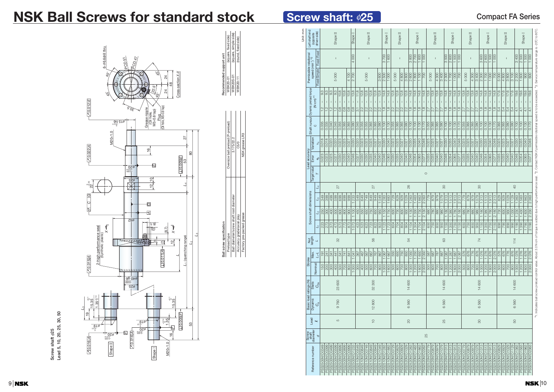9 10

## **NSK Ball Screws for standard stock**

#### 6- 6.6drill thru Gdrill 1 PCD<sub>47</sub> م<br>م φ  $\mathscr{S}_i$ Cross-section *X-X*  $\mathring{\mathscr{C}}$ 24 24 48 .<br>მ?<br>მ  $\mathfrak{F}'$  $\hat{\mathcal{S}}$ 0.012 *E* (Oil hole, M5×0.8 tap) 30.5 Grease nipple M5×0.8 tap) (Oil hole, Plug <sub>110 β</sub>-<br><sub>110 β-</sub> M20×1.0 27 0.022 *A*  $\frac{1}{2}$ 80 53 0.005 *E E* φ 07. –0.014 –0.005 10 25 φ –0.35 *L*<sup>4</sup> 22 인 *C G G A* 79 φ (8.1) 2-high performance seal<br>(Synthetic plastic) *X* 2-high performance seal (8.7) (3) *X* (Synthetic plastic) *L*<sup>3</sup> *L*1 (quenching range) 6 일  $\Xi$ *L*<sup>2</sup> 0.011 *A*  $70.015A$ *L* 0.016 A **A A**  $\rightarrow$  A  $\rightarrow$  A  $\rightarrow$  A  $\rightarrow$  A  $\rightarrow$  A  $\rightarrow$  A  $\rightarrow$  A  $\rightarrow$  A  $\rightarrow$  A  $\rightarrow$  A  $\rightarrow$  A  $\rightarrow$  A  $\rightarrow$  A  $\rightarrow$  A  $\rightarrow$  A  $\rightarrow$  A  $\rightarrow$  A  $\rightarrow$  A  $\rightarrow$  A  $\rightarrow$  A  $\rightarrow$  A  $\rightarrow$  A  $\rightarrow$  A  $\rightarrow$  A  $\rightarrow$  A  $\rightarrow$  A  $\rightarrow$  A  $\rightarrow$  A  $\rightarrow$  A  $\rightarrow$ 40 g6 –0.009 –0.025 φ 25 φ  $1.35^{+0.14}$  $\overline{Q}$  $15.35$ 0 15.35 19 +0.14 1.35 φ 19  $^{\circ}$ 53 –0.21  $\overline{\mathscr{I}}$ 0.005 *F* 19 *F* –0.21  $2000 - 0014$ *F* 0.016 *A* – 0ZØ<br><sub>፣</sub>µ00<del>-</del><br>§000– 16  $70.016A$ Shape II M20×1.0 Shape I

*L*<sup>3</sup>

**Screw shaft** φ**25**

**Lead 5, 10, 20, 25, 30, 50**

Screw shaft  $\phi$ 25<br>Lead 5, 10, 20, 25, 30, 50

| Unit: mm | Left shaft end                                         | (opposite<br>driven side) |                        |                      |                      | Shape II             |                       |                    |                       | Shape <sub>I</sub>       |                                   |                | Shape II       |                |                                |                | Shape <sub>I</sub>    |                         |                               | Shape II                   |                                               |                                                          |                         | Shape <sub>I</sub>              |                                        |                                                        |                | Shape II         |                         |                       | Shape <sub>I</sub>    |                                       |                       |                | Shape II             |                                      |                                                   |                                    | Shape <sub>I</sub>    |                       |                         |                | Shape II                |                |                |                       | Shape <sub>I</sub>    |                       |                                   |
|----------|--------------------------------------------------------|---------------------------|------------------------|----------------------|----------------------|----------------------|-----------------------|--------------------|-----------------------|--------------------------|-----------------------------------|----------------|----------------|----------------|--------------------------------|----------------|-----------------------|-------------------------|-------------------------------|----------------------------|-----------------------------------------------|----------------------------------------------------------|-------------------------|---------------------------------|----------------------------------------|--------------------------------------------------------|----------------|------------------|-------------------------|-----------------------|-----------------------|---------------------------------------|-----------------------|----------------|----------------------|--------------------------------------|---------------------------------------------------|------------------------------------|-----------------------|-----------------------|-------------------------|----------------|-------------------------|----------------|----------------|-----------------------|-----------------------|-----------------------|-----------------------------------|
|          | Permissible rotational<br>speed (min <sup>-1) *2</sup> |                           | Fixed-Fixed            |                      |                      | $\mathbf{I}$         |                       |                    |                       | 4000                     |                                   |                | $\overline{1}$ |                |                                |                | 3700                  | 600                     |                               | $\overline{1}$             |                                               | 3800                                                     | 2700                    | 1600                            | $\frac{1000}{1000}$                    |                                                        |                | $\overline{1}$   |                         | 3500                  | 2600                  | $\frac{1500}{ }$                      | 000                   |                |                      |                                      |                                                   | 3600                               | 2600                  | 1500                  | 000                     |                | $\overline{1}$          |                |                | 3400                  | 2500                  | 1500                  | $\frac{1000}{1000}$               |
|          |                                                        |                           | Fixed-Simple           |                      |                      | 5000                 |                       |                    | $\frac{100}{4}$       | 2700                     |                                   |                | 5000           |                |                                | 3 600          | 2500                  | $\frac{1000}{1000}$     | 5000                          |                            | 4 800                                         | 3800<br>2600                                             | 1800                    | 100                             | $\frac{1}{2}$                          |                                                        | 5000           | $\frac{4300}{ }$ | 3 400                   | 2 300                 | $\frac{0001}{1}$      | $\frac{1000}{1000}$                   | 700                   | 5000           |                      | 4 300                                | 3400                                              | 2 300                              | 1700                  | 1000                  | 700                     | 5000           | $\frac{4800}{ }$        | 3800           | 3 100          | $\overline{2200}$     | 1600                  | $\overline{50}$       | 600                               |
|          | Shaft runout Dynamic preload torque                    | $(M-cm)$ *1               | 9.3<br>$\frac{2}{1}$   | 9.3<br>$\frac{1}{2}$ | 9.3<br>$\frac{1}{2}$ | 9.3<br>$\frac{1}{2}$ | 10.8<br>$\frac{8}{2}$ | 10.8<br>$\sqrt{8}$ | 10.8<br>T<br>∣∞<br>   | 13.8<br>$0.\overline{8}$ | 11.8<br>$\overline{\ddot{\circ}}$ | 12.8<br>2.2    | 12.8<br>2.2    | 12.8<br>2.2    | $\sqrt{12.8}$<br>$\frac{1}{2}$ | 12.8<br>2.2    | 14.8<br>$\frac{8}{1}$ | 14.8<br>$\frac{8}{1.8}$ | 12.8<br>$\overline{1}$<br>2.2 | $\sqrt{2.8}$<br>$\sqrt{2}$ | $\sqrt{2.8}$<br>$\mathbf{I}$<br>$\frac{1}{2}$ | 12.8<br>14.8<br>$\left  \frac{\infty}{1} \right $<br>2.2 | 14.8<br>$\frac{8}{1.8}$ | $\overline{1}$<br>$\frac{8}{1}$ | 14.8<br>$\sqrt{14.8}$<br>$\frac{1}{2}$ | $\sqrt{13.8}$<br>$\mathbf{I}$<br>т<br>$\overline{2.7}$ | 13.8<br>2.7    | 13.8<br>2.7      | $\frac{8}{13.8}$<br>2.7 | 14.8<br>$\frac{8}{1}$ | 14.8<br>$\frac{8}{1}$ | 14.8<br>$\mathbf{I}$<br>$\frac{1}{2}$ | 14.8<br>$\frac{8}{1}$ | 13.8<br>2.7    | $\sqrt{13.8}$<br>2.7 | $\frac{8}{13.8}$<br>$\overline{2.7}$ | $\sqrt{13.8}$<br>$\mathsf{I}$<br>$\overline{2.7}$ | $\overline{14.8}$<br>$\frac{8}{1}$ | 14.8<br>$\frac{8}{1}$ | 14.8<br>$\frac{8}{1}$ | 14.8<br>$\frac{8}{1.8}$ | 17.6<br>5.4    | $\frac{17.6}{ }$<br>5.4 | 17.6<br>5.4    | 17.6<br>5.4    | 19.6<br>$\frac{1}{4}$ | 19.6<br>$\frac{1}{4}$ | 19.6<br>$\frac{1}{4}$ | $\frac{19.6}{ }$<br>$\frac{1}{4}$ |
|          |                                                        | $\circ$                   | 0.035                  | 0.035                | 0.040                | 0.045                | 0.055                 | 0.065              | 0.065                 | 0.080                    | 0.045                             | 0.055          | 0.055          | 0.065          | 0.065                          | 0.080          | 0.100                 | 0.130                   | 0.055                         | 0.065                      | 0.065                                         | 0.080<br>$\frac{0.100}{2}$                               | 0.100                   | 0.130                           | 0.170                                  | 0.055                                                  | 0.065          | 0.065            | 0.080                   | 0.100                 | $\frac{100}{100}$     | $\frac{0.130}{2}$                     | 0.170                 | 0.055          | 0.065                | 0.065                                | 0.080                                             | 0.100                              | 0.100                 | 0.130                 | 0.170                   | 0.065          | 0.065                   | 0.080          | 0.080          | $\frac{0.100}{2}$     | 0.100                 | $\overline{0.130}$    | 0.170                             |
|          | Variation                                              |                           | 0.018<br>ಸೆ            | 0.018                | 0.020                | 0.020                | 0.023                 | 0.025              | $\frac{0.027}{ }$     | 0.030                    | 0.020                             | 0.023          | 0.023          | 0.025          | $\frac{0.027}{2}$              | 0.027          | 0.030                 | 0.040                   | 0.023                         | 0.025                      | $\frac{0.027}{ }$                             | $\overline{0.030}$<br>0.027                              | 0.035                   | 0.040                           | 0.046                                  | 0.025                                                  | 0.025          | 0.027            | $\frac{0.027}{ }$       | 0.030                 | 0.035                 | 0.040                                 | 0.046                 | 0.025          | 0.025                | 0.027                                | 0.027                                             | 0.030                              | 0.035                 | 0.040                 | 0.046                   | 0.025          | 0.025                   | 0.027          | 0.027          | $\overline{0.030}$    | 0.035                 | 0.040                 | 0.046                             |
|          | Lead accuracy<br>Error                                 |                           | 0.023<br>Φů            | 0.023                | 0.025                | 0.027                | 0.030                 | 0.035              | 0.040                 | 0.046                    | 0.027                             | 0.030          | 0.030          | 0.035          | 0.040                          | 0.040          | 0.046                 | 0.065                   | 0.030                         | 0.035                      | 0.040                                         | 0.040<br>0.046                                           | 0.054                   |                                 | 0.065<br>$\frac{0.077}{2}$             | $\frac{0.035}{0.035}$                                  | 0.035          | 0.040            | 0.040                   | 0.046                 | 0.054                 | $\frac{0.065}{0}$                     | 0.077                 | 0.035          | 0.035                | 0.040                                | 0.040                                             | 0.046                              | 0.054                 | 0.065                 | 0.077                   | 0.035          | 0.035                   | 0.040          | 0.040          | 0.046                 | 0.054                 | 0.065                 | $\frac{1}{0.077}$                 |
|          | Target value                                           |                           |                        |                      |                      |                      |                       |                    |                       |                          |                                   |                |                |                |                                |                |                       |                         |                               |                            |                                               |                                                          |                         |                                 |                                        | $\circ$                                                |                |                  |                         |                       |                       |                                       |                       |                |                      |                                      |                                                   |                                    |                       |                       |                         |                |                         |                |                |                       |                       |                       |                                   |
|          |                                                        |                           | $\mathcal{I}_4$        |                      |                      |                      | 27                    |                    |                       |                          |                                   |                |                | 27             |                                |                |                       |                         |                               |                            |                                               | 26                                                       |                         |                                 |                                        |                                                        |                |                  |                         | $\infty$              |                       |                                       |                       |                |                      |                                      | 80                                                |                                    |                       |                       |                         |                |                         |                | $\overline{Q}$ |                       |                       |                       |                                   |
|          |                                                        |                           | 349<br>$L_3$           | 399                  | 499                  | 599                  | 699                   | 899                | 999                   | 233                      | 549                               | 649            | 749            | 849            | 849                            | 049            | 283                   | 883                     | 729                           | 829                        | 929                                           | 029<br>263                                               | 463                     |                                 | 1863                                   | 779<br>263<br>$\overline{\mathcal{C}}$                 | 879            | 979              | 079                     | 313                   | 513                   | 913                                   | 313<br>$\sim$         | 779            | 879                  | 979                                  | 079                                               | 313                                | 513                   | 913                   | 313<br>$\sim$           | 829            | 829                     | 029            | 129            | $\frac{1363}{ }$      | 563                   | 1963                  | 363<br>$\sim$                     |
|          | Screw shaft dimensions                                 |                           | 250<br>$\mathcal{L}_2$ | 300                  | 400                  | 500                  | 600                   | 800                | $\overline{500}$      | 100                      | 450                               | 550            | 650            | 750            | 850                            | 950            | 150                   | 750<br>÷                | 630                           | 730                        | 830                                           | 930<br>130                                               | 330<br>$\overline{ }$   |                                 | 1730                                   | 2130<br>680                                            | 780            | 880              | 980                     | 1180                  | 380<br>$\overline{ }$ | 780<br>$\overline{ }$                 | 180<br>$\sim$         | 680            | 780                  | 880                                  | 980                                               | 180                                | 380                   | 1780                  | 2 180                   | 730            | 830                     | 930            | 030            | 230<br>$\overline{ }$ | 1430                  | 1830                  | 230<br>$\sim$                     |
|          |                                                        |                           | 223<br>4               | 273                  | 373                  | 473                  | 573                   | 773                | 873                   | 073                      | 423                               | 523            | 623            | 723            | 823                            | 923            | 123                   | 723                     | 604                           | 704                        | 804                                           | 904<br>1104                                              | 1304                    |                                 | 1704                                   | 2104<br>650                                            | 750            | 850              | 950                     | 1150                  | 1350                  | 1750                                  | 2150                  | 650            | 750                  | 850                                  | 950                                               | 150                                | 350                   | 1750                  | 2150                    | 690            | $\overline{62}$         | 890            | 990            | 190<br>$\mathbf{r}$   | 1390                  | 1790                  | $\frac{190}{2}$                   |
|          | Nut<br>length                                          | $\overline{\phantom{0}}$  |                        |                      |                      |                      | 32                    |                    |                       |                          |                                   |                |                | 56             |                                |                |                       |                         |                               |                            |                                               | 54                                                       |                         |                                 |                                        |                                                        |                |                  |                         | $63\,$                |                       |                                       |                       |                |                      |                                      | 74                                                |                                    |                       |                       |                         |                |                         |                | 114            |                       |                       |                       |                                   |
|          | Max.<br><b>Stroke</b>                                  | $1 - 1$                   | 191                    | 241                  | 341                  | 441                  | 541                   | 741                | 841                   | 1041                     | 367                               | 467            | 567            | 667            | 767                            | 867            | 1067                  | 1667                    | 550                           | 650                        | 750                                           | 850<br>1050                                              | 1250                    |                                 | 1650                                   | 2050<br>587                                            | 687            | 787              | 887                     | 1087                  | 1287                  | 1687                                  | 2087                  | 576            | 676                  | 776                                  | 876                                               | 1076                               | 1276                  | 1676                  | 2076                    | 576            | 676                     | 776            | 876            | 1076                  | 1276                  | 1676                  | 2076                              |
|          |                                                        | Nominal                   | 150                    | 200                  | 300                  | 400                  | 500                   | 700                | 800                   | 1000                     | 300                               | 400            | 500            | 600            | 700                            | 800            | 1000                  | 1600                    | 500                           | 600                        | 700                                           | 800<br>1000                                              | 1200                    |                                 | 1600                                   | 2000<br>500                                            | 600            | 700              | 800                     | 1000                  | 1200                  | 1600                                  | 2000                  | 500            | 600                  | 700                                  | 800                                               | 1000                               | 1200                  | 1600                  | 2000                    | 500            | 600                     | 700            | 800            | 1000                  | 1200                  | 1600                  | 2000                              |
|          | <b>Static</b>                                          | $C_{0a}$                  |                        |                      |                      |                      | 23 600                |                    |                       |                          |                                   |                |                | 32 300         |                                |                |                       |                         |                               |                            |                                               | 14 600                                                   |                         |                                 |                                        |                                                        |                |                  |                         | 14 600                |                       |                                       |                       |                |                      |                                      | 14 600                                            |                                    |                       |                       |                         |                |                         |                | 14 600         |                       |                       |                       |                                   |
|          | Basic load ratings (N)<br>Dynamic                      | ပီ                        |                        |                      |                      |                      | 9760                  |                    |                       |                          |                                   |                |                | 12800          |                                |                |                       |                         |                               |                            |                                               | 6560                                                     |                         |                                 |                                        |                                                        |                |                  |                         | 6560                  |                       |                                       |                       |                |                      |                                      | 6560                                              |                                    |                       |                       |                         |                |                         |                | 6560           |                       |                       |                       |                                   |
|          | Lead                                                   | $\sim$                    |                        |                      |                      |                      | LO                    |                    |                       |                          |                                   |                |                | $\overline{C}$ |                                |                |                       |                         |                               |                            |                                               | $\overline{20}$                                          |                         |                                 |                                        |                                                        |                |                  |                         | 25                    |                       |                                       |                       |                |                      |                                      | 80                                                |                                    |                       |                       |                         |                |                         |                | 50             |                       |                       |                       |                                   |
|          | Screw<br>shaft<br>diameter                             |                           | p                      |                      |                      |                      |                       |                    |                       |                          |                                   |                |                |                |                                |                |                       |                         |                               |                            |                                               |                                                          |                         |                                 |                                        | 25                                                     |                |                  |                         |                       |                       |                                       |                       |                |                      |                                      |                                                   |                                    |                       |                       |                         |                |                         |                |                |                       |                       |                       |                                   |
|          | Reference number                                       |                           | PSS2505N1D0349         | PSS2505N1D0399       | PSS2505N1D0499       | PSS2505N1D0599       | PSS2505N1D0699        | PSS2505N1D0899     | <b>PSS2505N1D0999</b> | PSS2505N1D1233           | PSS2510N1D0549                    | PSS2510N1D0649 | PSS2510N1D0749 | PSS2510N1D0849 | PSS2510N1D0949                 | PSS2510N1D1049 | PSS2510N1D1283        | PSS2510N1D1883          | PSS2520N1D0729                | PSS2520N1D0829             | PSS2520N1D0929                                | PSS2520N1D1029<br>PSS2520N1D1263                         | PSS2520N1D1463          |                                 | PSS2520N1D1863                         | PSS2525N1D0779<br>PSS2520N1D2263                       | PSS2525N1D0879 | PSS2525N1D0979   | PSS2525N1D1079          | PSS2525N1D1313        | PSS2525N1D1513        | PSS2525N1D1913                        | PSS2525N1D2313        | PSS2530N1D0779 | PSS2530N1D0879       | PSS2530N1D0979                       | PSS2530N1D1079                                    | PSS2530N1D1313                     | PSS2530N1D1513        | PSS2530N1D1913        | PSS2530N1D2313          | PSS2550N1D0829 | PSS2550N1D0929          | PSS2550N1D1029 | PSS2550N1D1129 | PSS2550N1D1363        | PSS2550N1D1563        | PSS2550N1D1963        | <b>PSS2550N1D2363</b>             |

1. Indicates ball screw preload control value. About 3.0 N·cm of torque is added due to high performance seal. ✽ 2. Contact NSK if permissible rotational speed is to be exceeded. ✽ 3. Service temperature range is -20˚C to 80˚C.

| Ball screw specification                |                                   | lecommended support unit |                               |
|-----------------------------------------|-----------------------------------|--------------------------|-------------------------------|
| Preload type                            | Oversize ball preload (P-preload) |                          | WBK20-01 (square, fixed side) |
| Ball diameter/screw shaft root diameter | 3.175/22.2                        | WBK20S-01                | (square, simple side)         |
| Accuracy grade/axial play               | C5/0                              | WBK20-11                 | (round, fixed side)           |
| actory pre-packed grease                | NSK grease LR3                    |                          |                               |
|                                         |                                   |                          |                               |

**Screw shaft: ø25**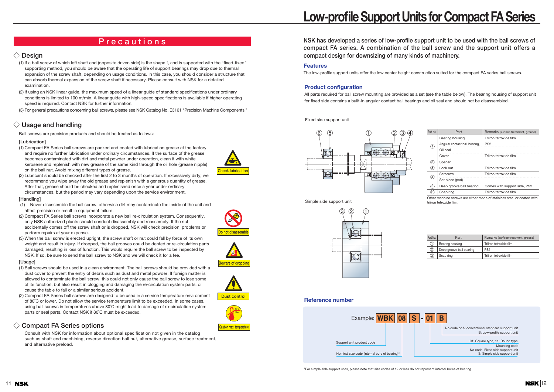## **Low-profile Support Units for Compact FA Series**

**Features**

The low-profile support units offer the low center height construction suited for the compact FA series ball screws.



✽For simple side support units, please note that size codes of 12 or less do not represent internal bores of bearing.

### **Reference number**

**Product configuration**

All parts required for ball screw mounting are provided as a set (see the table below). The bearing housing of support unit for fixed side contains a built-in angular contact ball bearings and oil seal and should not be disassembled.

### **NSK has developed a series of low-profile support unit to be used with the ball screws of compact FA series. A combination of the ball screw and the support unit offers a compact design for downsizing of many kinds of machinery.**



Fixed side support unit

Other machine screws are either made of stainless steel or coated with triiron tetroxide film.

| Part No.         | Part                          | Remarks (surface treatment, grease) |
|------------------|-------------------------------|-------------------------------------|
|                  | Bearing housing               | Triiron tetroxide film              |
| $\mathbf{1}$     | Angular contact ball bearing, | PS <sub>2</sub>                     |
|                  | Oil seal                      |                                     |
|                  | Cover                         | Triiron tetroxide film              |
| $^{2}$           | Spacer                        |                                     |
| 3)               | Lock nut                      | Triiron tetroxide film              |
| $\left(4\right)$ | Setscrew                      | Triiron tetroxide film              |
|                  | Set piece (pad)               |                                     |
| 5)               | Deep groove ball bearing      | Comes with support side, PS2        |
| 6 <sup>2</sup>   | Snap ring                     | Triiron tetroxide film              |



Simple side support unit

| Part No.          | Part                     | Remarks (surface treatment, grease) |
|-------------------|--------------------------|-------------------------------------|
|                   | Bearing housing          | Triiron tetroxide film              |
| $\left( 2\right)$ | Deep groove ball bearing | PS <sub>2</sub>                     |
| 3)                | Snap ring                | Triiron tetroxide film              |

### **Design**

- (1) If a ball screw of which left shaft end (opposite driven side) is the shape I, and is supported with the "fixed-fixed'' supporting method, you should be aware that the operating life of support bearings may drop due to thermal expansion of the screw shaft, depending on usage conditions. In this case, you should consider a structure that can absorb thermal expansion of the screw shaft if necessary. Please consult with NSK for a detailed examination.
- (2) If using an NSK linear guide, the maximum speed of a linear guide of standard specifications under ordinary conditions is limited to 100 m/min. A linear guide with high-speed specifications is available if higher operating speed is required. Contact NSK for further information.

(3) For general precautions concerning ball screws, please see NSK Catalog No. E3161 ''Precision Machine Components.''

### **Usage and handling**

Ball screws are precision products and should be treated as follows:

### **[Lubrication]**

- (1) Compact FA Series ball screws are packed and coated with lubrication grease at the factory, and require no further lubrication under ordinary circumstances. If the surface of the grease becomes contaminated with dirt and metal powder under operation, clean it with white kerosene and replenish with new grease of the same kind through the oil hole (grease nipple) on the ball nut. Avoid mixing different types of grease.
- (2) Lubricant should be checked after the first 2 to 3 months of operation. If excessively dirty, we recommend you wipe away the old grease and replenish with a generous quantity of grease. After that, grease should be checked and replenished once a year under ordinary circumstances, but the period may vary depending upon the service environment.

### **[Handling]**

- (1) Never disassemble the ball screw, otherwise dirt may contaminate the inside of the unit and affect precision or result in equipment failure.
- (2) Compact FA Series ball screws incorporate a new ball re-circulation system. Consequently, only NSK authorized plants should conduct disassembly and reassembly. If the nut accidentally comes off the screw shaft or is dropped, NSK will check precision, problems or perform repairs at your expense.
- (3) When the ball screw is erected upright, the screw shaft or nut could fall by force of its own weight and result in injury. If dropped, the ball grooves could be dented or re-circulation parts damaged, resulting in loss of function. This would require the ball screw to be inspected by NSK. If so, be sure to send the ball screw to NSK and we will check it for a fee.

### **[Usage]**

- (1) Ball screws should be used in a clean environment. The ball screws should be provided with a dust cover to prevent the entry of debris such as dust and metal powder. If foreign matter is allowed to contaminate the ball screw, this could not only cause the ball screw to lose some of its function, but also result in clogging and damaging the re-circulation system parts, or cause the table to fall or a similar serious accident.
- (2) Compact FA Series ball screws are designed to be used in a service temperature environment of 80˚C or lower. Do not allow the service temperature limit to be exceeded. In some cases, using ball screws in temperatures above 80˚C might lead to damage of re-circulation system parts or seal parts. Contact NSK if 80˚C must be exceeded.

### **Compact FA Series options**

Consult with NSK for information about optional specification not given in the catalog such as shaft end machining, reverse direction ball nut, alternative grease, surface treatment, and alternative preload.

## **Precautions**









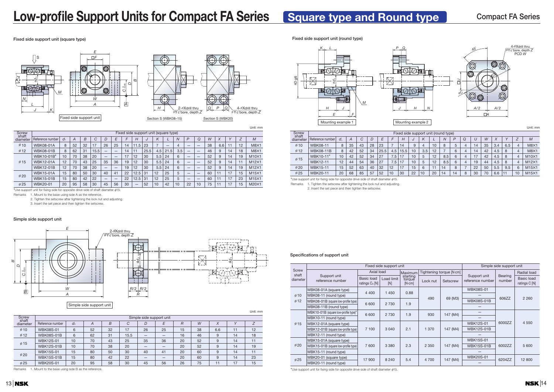#### **Specifications of support unit**







### Simple side support unit



## **Low-profile Support Units for Compact FA Series Square type and Round type**

#### **Fixed side support unit (square type)**

#### **Simple side support unit**

### **Fixed side support unit (round type)**

Unit: mm

| Screw<br>shaft | Fixed side support unit (square type) |                |    |    |      |    |    |    |      |          |     |      |     |                |    |    |     |    |                          |              |
|----------------|---------------------------------------|----------------|----|----|------|----|----|----|------|----------|-----|------|-----|----------------|----|----|-----|----|--------------------------|--------------|
| diameter       | Reference number                      | d <sub>1</sub> | A  | B  | U    | D  | E  |    | Н    | <b>U</b> |     |      | N   | $\overline{P}$ | Q  | W  | X   |    | $\overline{\phantom{0}}$ | M            |
| $\emptyset$ 10 | <b>WBK08-01A</b>                      | 8              | 52 | 32 | 17   | 26 | 25 | 14 | 11.5 | 23       |     | –    | 4   | –              |    | 38 | 6.6 | 11 | 12                       | M8X1         |
| $\emptyset$ 12 | <b>WBK08-01B</b>                      | 8              | 62 | 31 | 15.5 | –  |    | 14 | 11   | 25.5     | 4.5 | 21.5 | 3.5 | –              | –  | 46 | 9   | 14 | 18                       | M8X1         |
|                | WBK10-01B*                            | 10             | 70 | 38 | 20   |    | –  |    | 12   | 30       | 5.5 | 24   | 6   | -              | _  | 52 | 9   | 14 | 19                       | $M10\times1$ |
| $\emptyset$ 15 | <b>WBK12-01A</b>                      | 12             | 70 | 43 | 25   | 35 | 36 | 19 | 12   | 30       | 5.5 | 24   | 6   | -              | –  | 52 | 9   | 14 |                          | $M12\times1$ |
|                | <b>WBK12-01B</b>                      | 12             | 70 | 38 | 20   | –  | _  | 19 | 12   | 30       | 5.5 | 24   | 6   | –              |    | 52 | 9   | 14 | 19                       | $M12\times1$ |
| $\emptyset$ 20 | <b>WBK15-01A</b>                      | 15             | 80 | 50 | 30   | 40 | 41 | 22 | 12.5 | 31       | 12  | 25   | 5   | -              | –  | 60 | 11  | 17 | 15<br>٠                  | $M15\times1$ |
|                | <b>WBK15-01B</b>                      | 15             | 80 | 42 | 22   |    | –  | 22 | 12.5 | 31       | 12  | 25   | b   | –              | –  | 60 | 11  | 17 | 23                       | $M15\times1$ |
| $\emptyset$ 25 | <b>WBK20-01</b>                       | 20             | 95 | 58 | 30   | 45 | 56 | 30 | —    | 52       | 10  | 42   | 10  | 22             | 10 | 75 | 11  | 17 | 15                       | $M20\times1$ |

\*Use support unit for fixing side for opposite drive side of shaft diameter  $\phi$ 15.

Remarks 1. Mount to the base using side A as the reference.

\*Use support unit for fixing side for opposite drive side of shaft diameter  $\phi$ 15. Remarks 1. Tighten the setscrew after tightening the lock nut and adjusting.

2. Tighten the setscrew after tightening the lock nut and adjusting.

3. Insert the set piece and then tighten the setscrew.

| Screw<br>shaft   | Fixed side support unit (round type) |    |    |    |    |      |     |      |    |          |    |                |             |   |      |    |     |     |                          |              |
|------------------|--------------------------------------|----|----|----|----|------|-----|------|----|----------|----|----------------|-------------|---|------|----|-----|-----|--------------------------|--------------|
| diameter         | Reference number                     | d  | A  |    |    |      |     | Н    | J  | $\kappa$ |    | $\overline{N}$ |             | Q |      | W  |     |     | $\overline{\phantom{0}}$ | M            |
| $\emptyset$ 10   | <b>WBK08-11</b>                      | 8  | 35 | 43 | 28 | 23   |     | 14   | 9  | 4        | 10 | 8              | $\mathbf b$ |   | 14   | 35 | 3.4 | 6.5 | 4                        | M8X1         |
| $\emptyset$ 12   | <b>WBK08-11B</b>                     | 8  | 42 | 52 | 34 | 25.5 | 4.5 | 15.5 | 10 | 3.5      | 12 |                | 6           |   | 14   | 42 | 4.5 | 8   | 4                        | M8X1         |
| $\varnothing$ 15 | WBK10-11*                            | 10 | 42 | 52 | 34 | 27   | 7.5 | 17   | 10 | 5        | 12 | 8.5            | 6           |   | $-1$ | 42 | 4.5 | 8   | 4                        | $M10\times1$ |
|                  | <b>WBK12-11</b>                      | 12 | 44 | 54 | 36 | 27   | 7.5 | 17   | 10 | 5        | 12 | 8.5            | 6           |   | 19   | 44 | 4.5 | 8   | 4                        | $M12\times1$ |
| $\emptyset$ 20   | <b>WBK15-11</b>                      | 15 | 52 | 63 | 40 | 32   | 12  | 17   | 15 | 6        |    | 14             | 8           |   | 22   | 50 | 5.5 | 9.5 | 6                        | $M15\times1$ |
| $\emptyset$ 25   | <b>WBK20-11</b>                      | 20 | 68 | 85 | 57 | 52   | 10  | 30   | 22 | 10       | 20 | 14             | 14          | 8 | 30   | 70 | 6.6 |     | 10                       | $M15\times1$ |

|                |                   |                          |                |    |      |    |    |                |    |             |              | Unit: mm |  |  |  |  |
|----------------|-------------------|--------------------------|----------------|----|------|----|----|----------------|----|-------------|--------------|----------|--|--|--|--|
| Screw<br>shaft |                   | Simple side support unit |                |    |      |    |    |                |    |             |              |          |  |  |  |  |
| diameter       | Reference number  | d <sub>2</sub>           | $\overline{A}$ | B  | С    | D  | E  | $\overline{R}$ | W  | $\vee$<br>⋏ | $\mathbf{v}$ |          |  |  |  |  |
| $\emptyset$ 10 | <b>WBK08S-01</b>  | 6                        | 52             | 32 | 17   | 26 | 25 | 15             | 38 | 6.6         | 11           | 12       |  |  |  |  |
| $\emptyset$ 12 | <b>WBK08S-01B</b> | 6                        | 62             | 31 | 15.5 |    | —  | 16             | 46 | 9           | 14           | 18       |  |  |  |  |
|                | <b>WBK12S-01</b>  | 10                       | 70             | 43 | 25   | 35 | 36 | 20             | 52 | 9           | 14           | 11       |  |  |  |  |
| $\emptyset$ 15 | <b>WBK12S-01B</b> | 10                       | 70             | 38 | 20   |    | –  | 20             | 52 | 9           | 14           | 19       |  |  |  |  |
| $\emptyset$ 20 | <b>WBK15S-01</b>  | 15                       | 80             | 50 | 30   | 40 | 41 | 20             | 60 | 9           | 14           | 11       |  |  |  |  |
|                | <b>WBK15S-01B</b> | 15                       | 80             | 42 | 22   |    | _  | 20             | 60 | 9           | 14           | 23       |  |  |  |  |
| $\emptyset$ 25 | <b>WBK20S-01</b>  | 20                       | 95             | 58 | 30   | 45 | 56 | 26             | 75 | 11          | 17           | 15       |  |  |  |  |

Unit: mm

|                       |                                      | Fixed side support unit                | Simple side support unit |                             |          |                          |                                  |                          |                                    |  |
|-----------------------|--------------------------------------|----------------------------------------|--------------------------|-----------------------------|----------|--------------------------|----------------------------------|--------------------------|------------------------------------|--|
| <b>Screw</b><br>shaft |                                      | Axial load                             |                          | Maximum                     |          | Tightening torque [N·cm] |                                  |                          | <b>Radial load</b>                 |  |
| diameter              | Support unit<br>reference number     | <b>Basic load</b><br>ratings $C_a$ [N] | Load limit<br>[N]        | starting<br>torque<br>[Ncm] | Lock nut | Setscrew                 | Support unit<br>reference number | <b>Bearing</b><br>number | <b>Basic load</b><br>ratings C [N] |  |
|                       | WBK08-01A (square type)              | 4 4 0 0                                | 1 4 5 0                  |                             |          |                          | <b>WBK08S-01</b>                 |                          |                                    |  |
| $\emptyset$ 10        | WBK08-11 (round type)                |                                        |                          | 0.88                        | 490      |                          |                                  | 606ZZ                    | 2 2 6 0                            |  |
| $\emptyset$ 12        | WBK08-01B (square low-profile type)  | 6 600                                  | 2 7 3 0                  | 1.9                         |          | 69 (M3)                  | <b>WBK08S-01B</b>                |                          |                                    |  |
|                       | WBK08-11B (round type)               |                                        |                          |                             |          |                          |                                  |                          |                                    |  |
|                       | WBK10-01B (square low-profile type)* | 6 600                                  | 2 7 3 0                  | 1.9                         | 930      | 147 (M4)                 |                                  |                          |                                    |  |
|                       | WBK10-11 (round type)                |                                        |                          |                             |          |                          |                                  |                          |                                    |  |
| $\emptyset$ 15        | WBK12-01A (square type)              |                                        | 3 0 4 0                  | 2.1                         |          |                          | <b>WBK12S-01</b>                 | 6000ZZ                   | 4 5 5 0                            |  |
|                       | WBK12-01B (square low-profile type)  | 7 100                                  |                          |                             | 370      | 147 (M4)                 | <b>WBK12S-01B</b>                |                          |                                    |  |
|                       | WBK12-11 (round type)                |                                        |                          |                             |          |                          |                                  |                          |                                    |  |
|                       | WBK15-01A (square type)              |                                        |                          |                             |          |                          | <b>WBK15S-01</b>                 |                          | 5 600                              |  |
| $\emptyset$ 20        | WBK15-01B (square low-profile type)  | 7 600                                  | 3 3 8 0                  | 2.3                         | 2 3 5 0  | 147 (M4)                 | <b>WBK15S-01B</b>                | 6002ZZ                   |                                    |  |
|                       | WBK15-11 (round type)                |                                        |                          |                             |          |                          |                                  |                          |                                    |  |
| $\emptyset$ 25        | WBK20-01 (square type)               | 17 900                                 | 8 2 4 0                  | 5.4                         | 4 700    | 147 (M4)                 | <b>WBK20S-01</b>                 | 6204ZZ                   | 12 800                             |  |
|                       | WBK20-11 (round type)                |                                        |                          |                             |          |                          |                                  |                          |                                    |  |

Remarks 1. Mount to the base using side B as the reference.  $\blacksquare$ 



2. Insert the set piece and then tighten the setscrew.